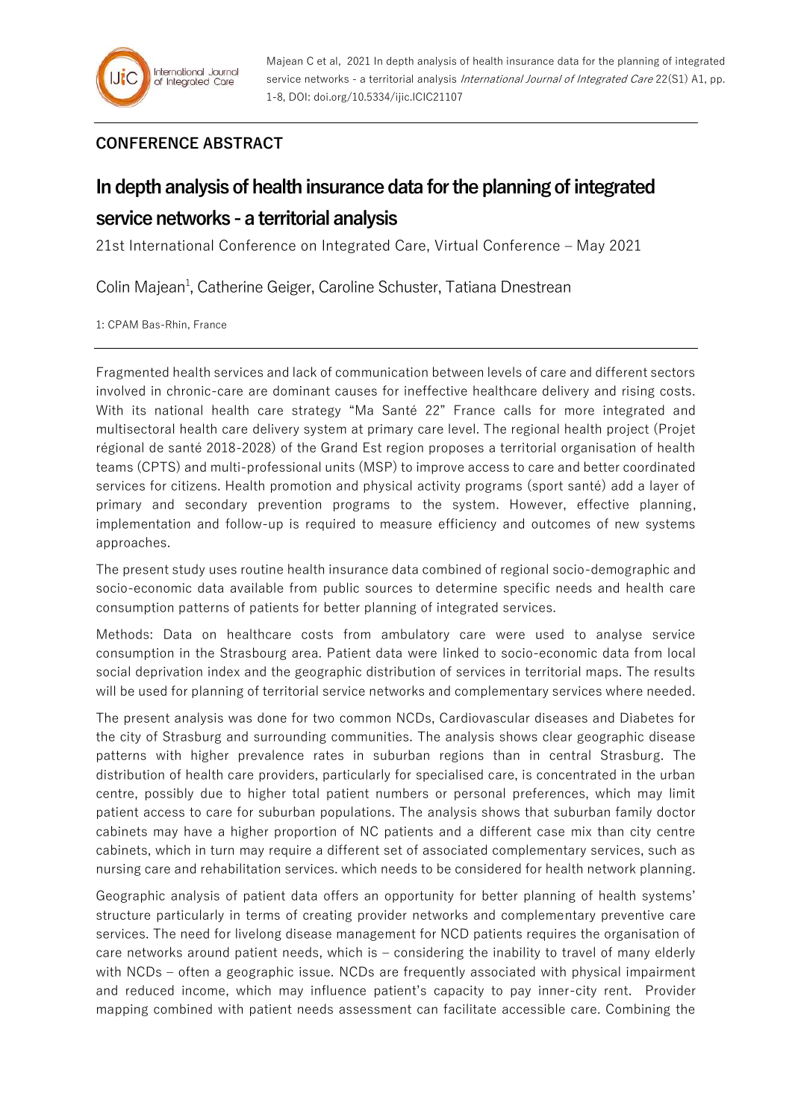## **CONFERENCE ABSTRACT**

## **In depth analysis of health insurance data for the planning of integrated service networks -a territorial analysis**

21st International Conference on Integrated Care, Virtual Conference – May 2021

Colin Majean<sup>1</sup>, Catherine Geiger, Caroline Schuster, Tatiana Dnestrean

1: CPAM Bas-Rhin, France

Fragmented health services and lack of communication between levels of care and different sectors involved in chronic-care are dominant causes for ineffective healthcare delivery and rising costs. With its national health care strategy "Ma Santé 22" France calls for more integrated and multisectoral health care delivery system at primary care level. The regional health project (Projet régional de santé 2018-2028) of the Grand Est region proposes a territorial organisation of health teams (CPTS) and multi-professional units (MSP) to improve access to care and better coordinated services for citizens. Health promotion and physical activity programs (sport santé) add a layer of primary and secondary prevention programs to the system. However, effective planning, implementation and follow-up is required to measure efficiency and outcomes of new systems approaches.

The present study uses routine health insurance data combined of regional socio-demographic and socio-economic data available from public sources to determine specific needs and health care consumption patterns of patients for better planning of integrated services.

Methods: Data on healthcare costs from ambulatory care were used to analyse service consumption in the Strasbourg area. Patient data were linked to socio-economic data from local social deprivation index and the geographic distribution of services in territorial maps. The results will be used for planning of territorial service networks and complementary services where needed.

The present analysis was done for two common NCDs, Cardiovascular diseases and Diabetes for the city of Strasburg and surrounding communities. The analysis shows clear geographic disease patterns with higher prevalence rates in suburban regions than in central Strasburg. The distribution of health care providers, particularly for specialised care, is concentrated in the urban centre, possibly due to higher total patient numbers or personal preferences, which may limit patient access to care for suburban populations. The analysis shows that suburban family doctor cabinets may have a higher proportion of NC patients and a different case mix than city centre cabinets, which in turn may require a different set of associated complementary services, such as nursing care and rehabilitation services. which needs to be considered for health network planning.

Geographic analysis of patient data offers an opportunity for better planning of health systems' structure particularly in terms of creating provider networks and complementary preventive care services. The need for livelong disease management for NCD patients requires the organisation of care networks around patient needs, which is – considering the inability to travel of many elderly with NCDs – often a geographic issue. NCDs are frequently associated with physical impairment and reduced income, which may influence patient's capacity to pay inner-city rent. Provider mapping combined with patient needs assessment can facilitate accessible care. Combining the